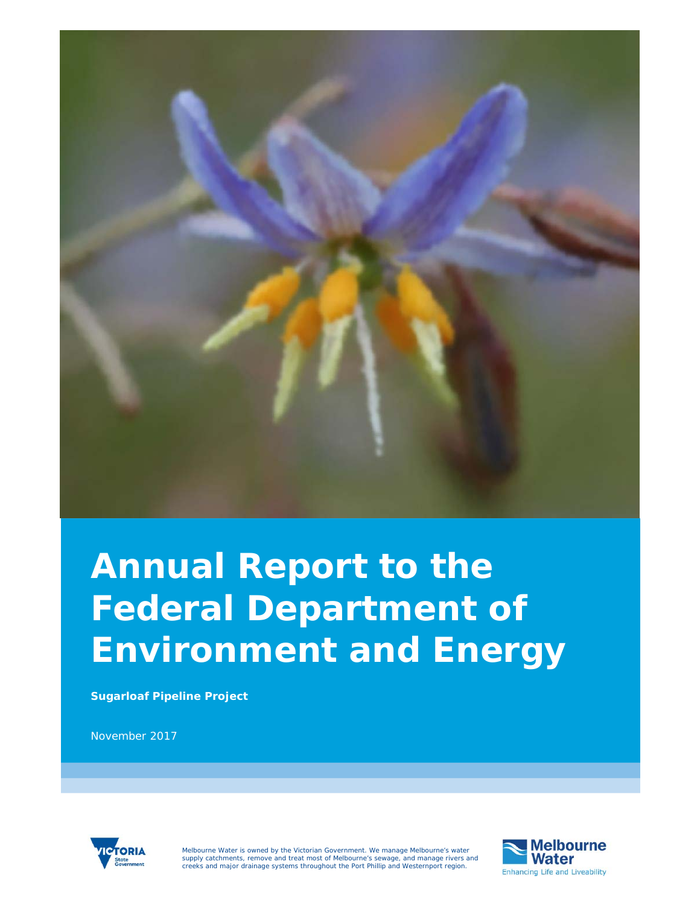

# **Annual Report to the Federal Department of Environment and Energy**

**Sugarloaf Pipeline Project** 

November 2017



Melbourne Water is owned by the Victorian Government. We manage Melbourne's water<br>supply catchments, remove and treat most of Melbourne's sewage, and manage rivers and<br>creeks and major drainage systems throughout the Port

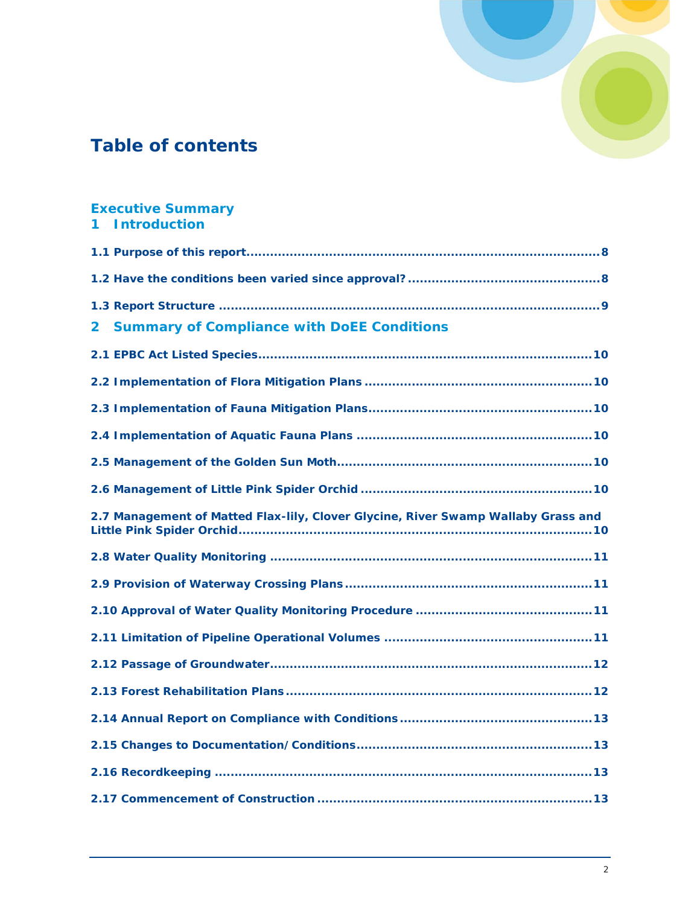

## **Table of contents**

| <b>Executive Summary</b><br><b>Introduction</b>                                   |
|-----------------------------------------------------------------------------------|
|                                                                                   |
|                                                                                   |
|                                                                                   |
| <b>Summary of Compliance with DoEE Conditions</b><br>2 <sup>1</sup>               |
|                                                                                   |
|                                                                                   |
|                                                                                   |
|                                                                                   |
|                                                                                   |
|                                                                                   |
|                                                                                   |
| 2.7 Management of Matted Flax-lily, Clover Glycine, River Swamp Wallaby Grass and |
|                                                                                   |
|                                                                                   |
|                                                                                   |
|                                                                                   |
|                                                                                   |
|                                                                                   |
|                                                                                   |
|                                                                                   |
|                                                                                   |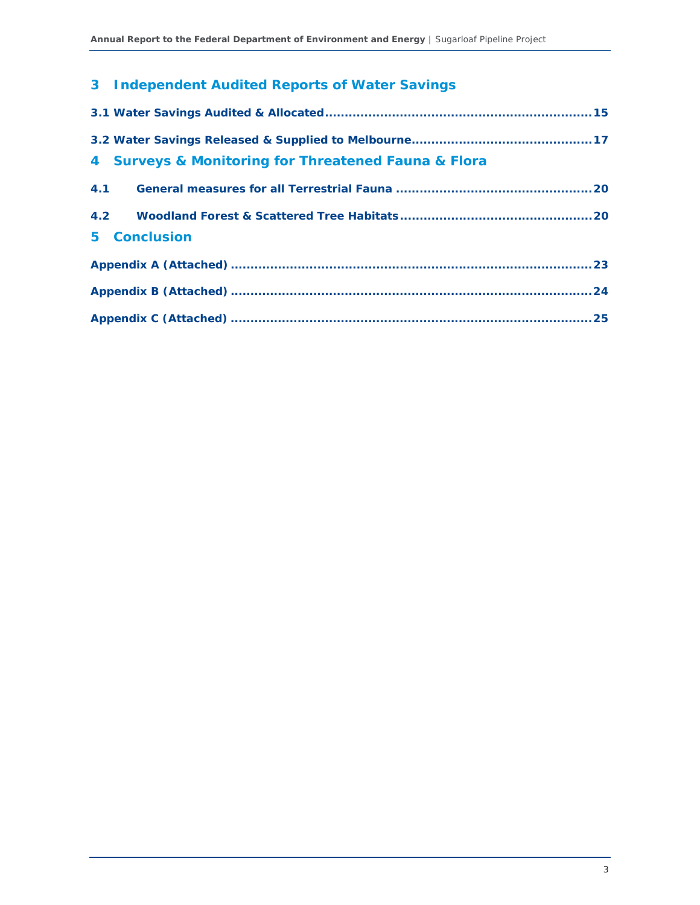## **3 Independent Audited Reports of Water Savings**

| 4 Surveys & Monitoring for Threatened Fauna & Flora |  |
|-----------------------------------------------------|--|
| 4.1                                                 |  |
|                                                     |  |
| 5 Conclusion                                        |  |
|                                                     |  |
|                                                     |  |
|                                                     |  |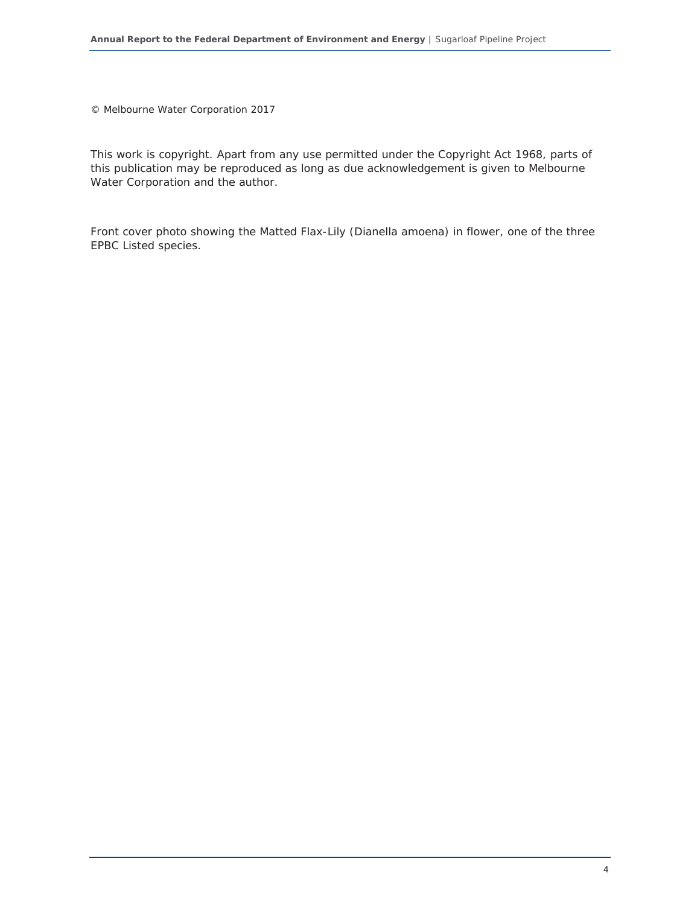© Melbourne Water Corporation 2017

This work is copyright. Apart from any use permitted under the Copyright Act 1968, parts of this publication may be reproduced as long as due acknowledgement is given to Melbourne Water Corporation and the author.

Front cover photo showing the Matted Flax-Lily (Dianella amoena) in flower, one of the three EPBC Listed species.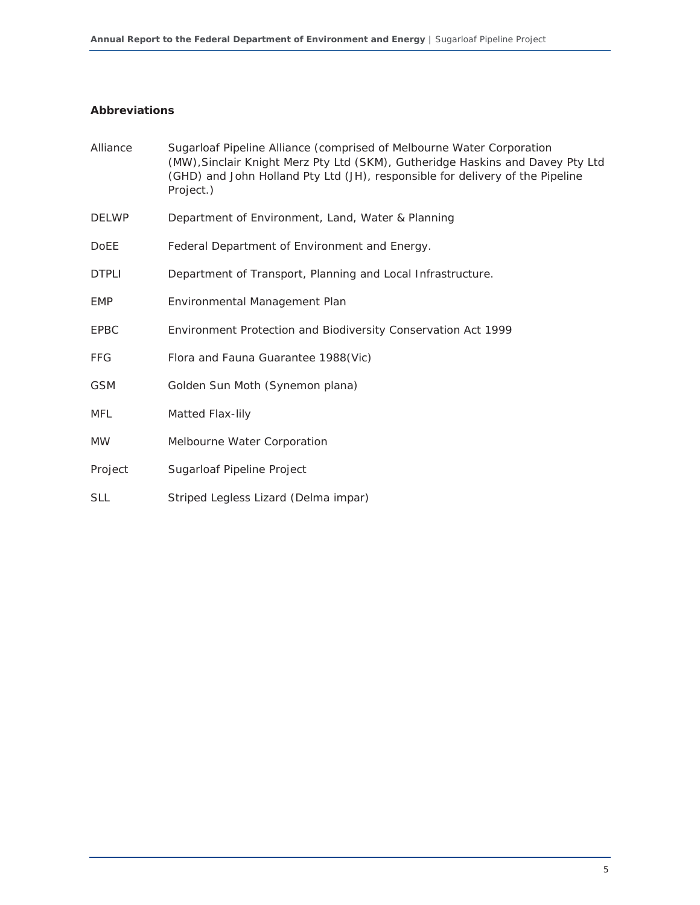### **Abbreviations**

| Alliance     | Sugarloaf Pipeline Alliance (comprised of Melbourne Water Corporation<br>(MW), Sinclair Knight Merz Pty Ltd (SKM), Gutheridge Haskins and Davey Pty Ltd<br>(GHD) and John Holland Pty Ltd (JH), responsible for delivery of the Pipeline<br>Project.) |
|--------------|-------------------------------------------------------------------------------------------------------------------------------------------------------------------------------------------------------------------------------------------------------|
| <b>DELWP</b> | Department of Environment, Land, Water & Planning                                                                                                                                                                                                     |
| <b>DoEE</b>  | Federal Department of Environment and Energy.                                                                                                                                                                                                         |
| <b>DTPLI</b> | Department of Transport, Planning and Local Infrastructure.                                                                                                                                                                                           |
| <b>EMP</b>   | Environmental Management Plan                                                                                                                                                                                                                         |
| <b>EPBC</b>  | Environment Protection and Biodiversity Conservation Act 1999                                                                                                                                                                                         |
| <b>FFG</b>   | Flora and Fauna Guarantee 1988(Vic)                                                                                                                                                                                                                   |
| <b>GSM</b>   | Golden Sun Moth (Synemon plana)                                                                                                                                                                                                                       |
| MFL          | Matted Flax-lily                                                                                                                                                                                                                                      |
| <b>MW</b>    | Melbourne Water Corporation                                                                                                                                                                                                                           |
| Project      | Sugarloaf Pipeline Project                                                                                                                                                                                                                            |
| <b>SLL</b>   | Striped Legless Lizard (Delma impar)                                                                                                                                                                                                                  |
|              |                                                                                                                                                                                                                                                       |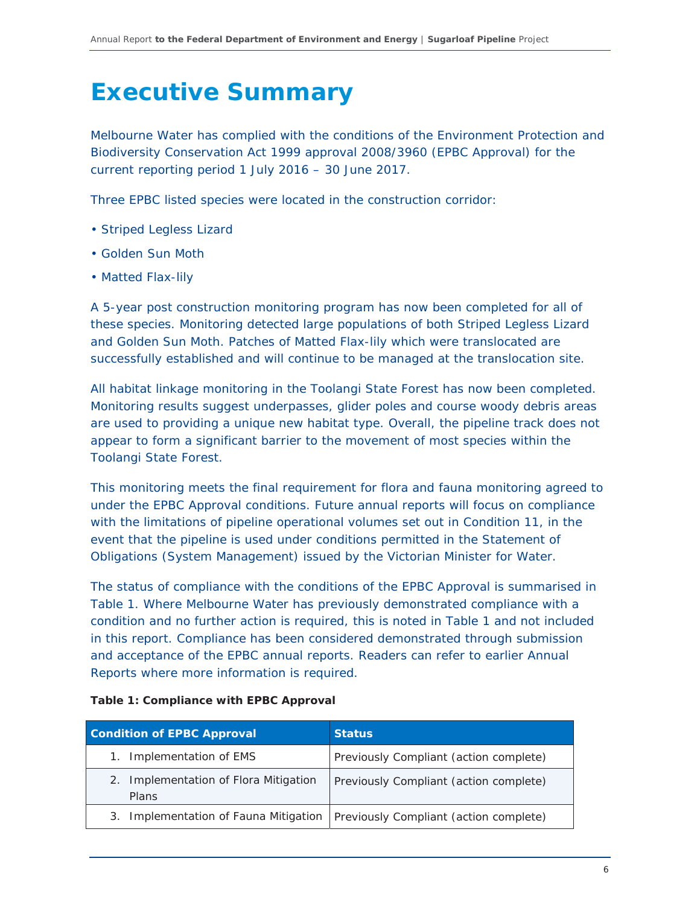## **Executive Summary**

Melbourne Water has complied with the conditions of the Environment Protection and Biodiversity Conservation Act 1999 approval 2008/3960 (EPBC Approval) for the current reporting period 1 July 2016 – 30 June 2017.

Three EPBC listed species were located in the construction corridor:

- Striped Legless Lizard
- Golden Sun Moth
- Matted Flax-lily

A 5-year post construction monitoring program has now been completed for all of these species. Monitoring detected large populations of both Striped Legless Lizard and Golden Sun Moth. Patches of Matted Flax-lily which were translocated are successfully established and will continue to be managed at the translocation site.

All habitat linkage monitoring in the Toolangi State Forest has now been completed. Monitoring results suggest underpasses, glider poles and course woody debris areas are used to providing a unique new habitat type. Overall, the pipeline track does not appear to form a significant barrier to the movement of most species within the Toolangi State Forest.

This monitoring meets the final requirement for flora and fauna monitoring agreed to under the EPBC Approval conditions. Future annual reports will focus on compliance with the limitations of pipeline operational volumes set out in Condition 11, in the event that the pipeline is used under conditions permitted in the *Statement of Obligations (System Management)* issued by the Victorian Minister for Water.

The status of compliance with the conditions of the EPBC Approval is summarised in Table 1. Where Melbourne Water has previously demonstrated compliance with a condition and no further action is required, this is noted in Table 1 and not included in this report. Compliance has been considered demonstrated through submission and acceptance of the EPBC annual reports. Readers can refer to earlier Annual Reports where more information is required.

| <b>Condition of EPBC Approval</b>              | <b>Status</b>                          |
|------------------------------------------------|----------------------------------------|
| 1. Implementation of EMS                       | Previously Compliant (action complete) |
| 2. Implementation of Flora Mitigation<br>Plans | Previously Compliant (action complete) |
| 3. Implementation of Fauna Mitigation          | Previously Compliant (action complete) |

#### **Table 1: Compliance with EPBC Approval**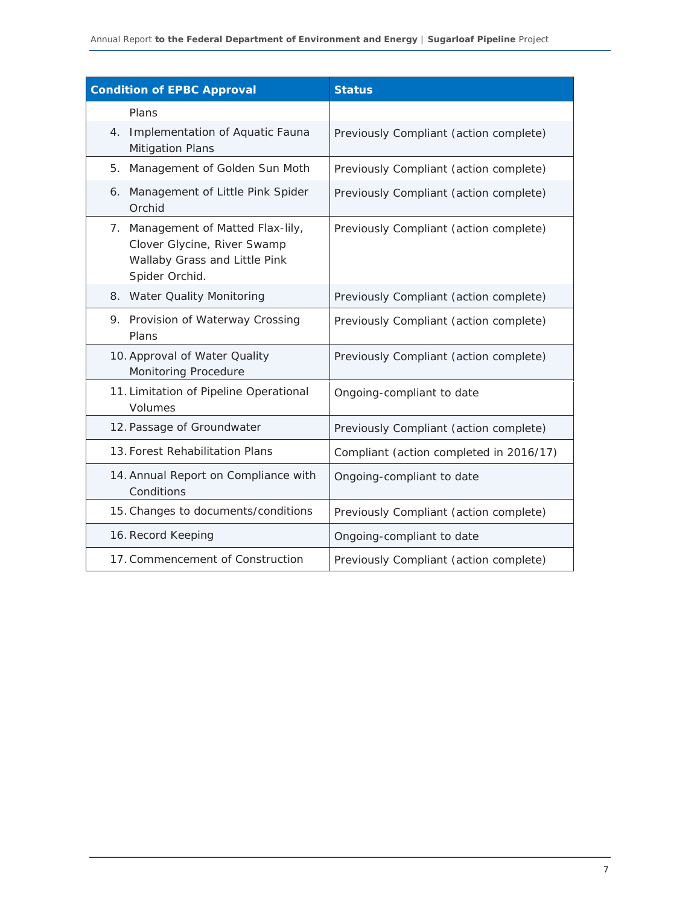| <b>Condition of EPBC Approval</b>                                                                                    | <b>Status</b>                           |
|----------------------------------------------------------------------------------------------------------------------|-----------------------------------------|
| Plans                                                                                                                |                                         |
| 4. Implementation of Aquatic Fauna<br><b>Mitigation Plans</b>                                                        | Previously Compliant (action complete)  |
| Management of Golden Sun Moth<br>5.                                                                                  | Previously Compliant (action complete)  |
| 6. Management of Little Pink Spider<br>Orchid                                                                        | Previously Compliant (action complete)  |
| 7. Management of Matted Flax-lily,<br>Clover Glycine, River Swamp<br>Wallaby Grass and Little Pink<br>Spider Orchid. | Previously Compliant (action complete)  |
| 8. Water Quality Monitoring                                                                                          | Previously Compliant (action complete)  |
| 9. Provision of Waterway Crossing<br>Plans                                                                           | Previously Compliant (action complete)  |
| 10. Approval of Water Quality<br>Monitoring Procedure                                                                | Previously Compliant (action complete)  |
| 11. Limitation of Pipeline Operational<br>Volumes                                                                    | Ongoing-compliant to date               |
| 12. Passage of Groundwater                                                                                           | Previously Compliant (action complete)  |
| 13. Forest Rehabilitation Plans                                                                                      | Compliant (action completed in 2016/17) |
| 14. Annual Report on Compliance with<br>Conditions                                                                   | Ongoing-compliant to date               |
| 15. Changes to documents/conditions                                                                                  | Previously Compliant (action complete)  |
| 16. Record Keeping                                                                                                   | Ongoing-compliant to date               |
| 17. Commencement of Construction                                                                                     | Previously Compliant (action complete)  |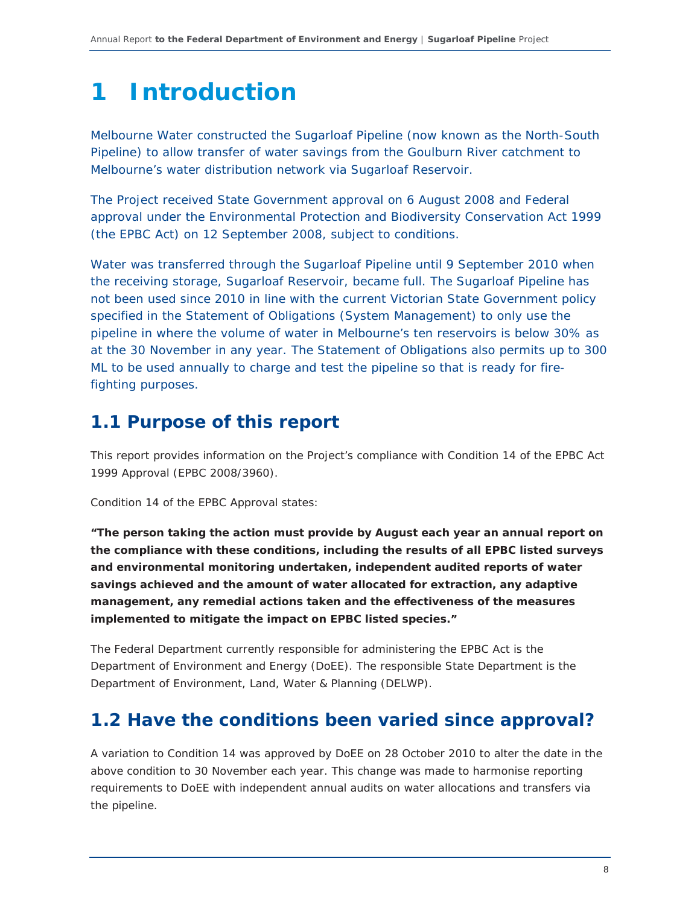## **1 Introduction**

Melbourne Water constructed the Sugarloaf Pipeline (now known as the North-South Pipeline) to allow transfer of water savings from the Goulburn River catchment to Melbourne's water distribution network via Sugarloaf Reservoir.

The Project received State Government approval on 6 August 2008 and Federal approval under the Environmental Protection and Biodiversity Conservation Act 1999 (the EPBC Act) on 12 September 2008, subject to conditions.

Water was transferred through the Sugarloaf Pipeline until 9 September 2010 when the receiving storage, Sugarloaf Reservoir, became full. The Sugarloaf Pipeline has not been used since 2010 in line with the current Victorian State Government policy specified in the *Statement of Obligations (System Management)* to only use the pipeline in where the volume of water in Melbourne's ten reservoirs is below 30% as at the 30 November in any year. The *Statement of Obligations* also permits up to 300 ML to be used annually to charge and test the pipeline so that is ready for firefighting purposes.

## **1.1 Purpose of this report**

This report provides information on the Project's compliance with Condition 14 of the EPBC Act 1999 Approval (EPBC 2008/3960).

Condition 14 of the EPBC Approval states:

*"The person taking the action must provide by August each year an annual report on the compliance with these conditions, including the results of all EPBC listed surveys and environmental monitoring undertaken, independent audited reports of water savings achieved and the amount of water allocated for extraction, any adaptive management, any remedial actions taken and the effectiveness of the measures implemented to mitigate the impact on EPBC listed species."* 

The Federal Department currently responsible for administering the EPBC Act is the Department of Environment and Energy (DoEE). The responsible State Department is the Department of Environment, Land, Water & Planning (DELWP).

## **1.2 Have the conditions been varied since approval?**

A variation to Condition 14 was approved by DoEE on 28 October 2010 to alter the date in the above condition to 30 November each year. This change was made to harmonise reporting requirements to DoEE with independent annual audits on water allocations and transfers via the pipeline.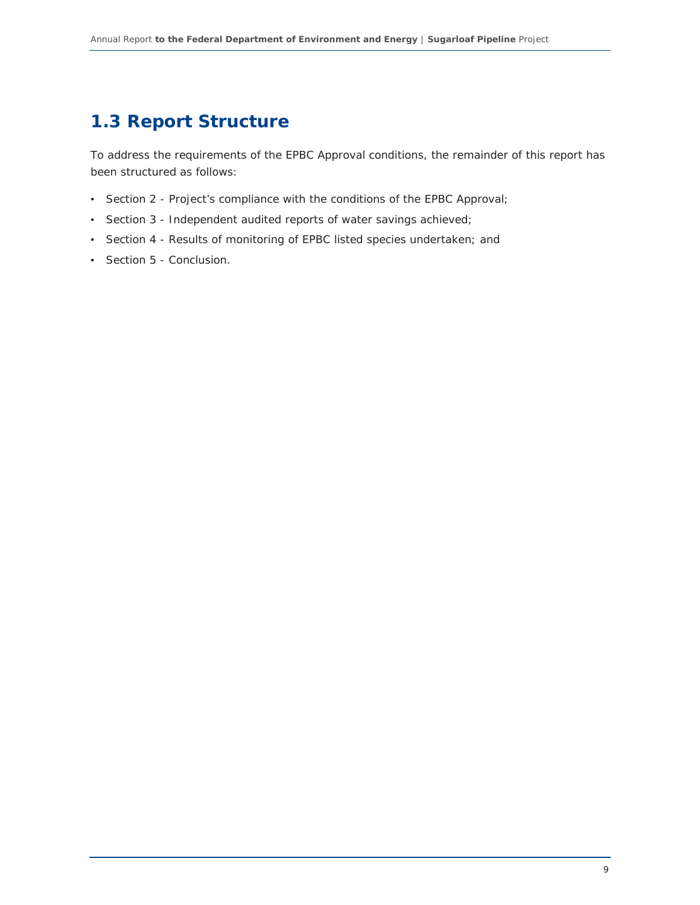## **1.3 Report Structure**

To address the requirements of the EPBC Approval conditions, the remainder of this report has been structured as follows:

- Section 2 Project's compliance with the conditions of the EPBC Approval;
- Section 3 Independent audited reports of water savings achieved;
- Section 4 Results of monitoring of EPBC listed species undertaken; and
- Section 5 Conclusion.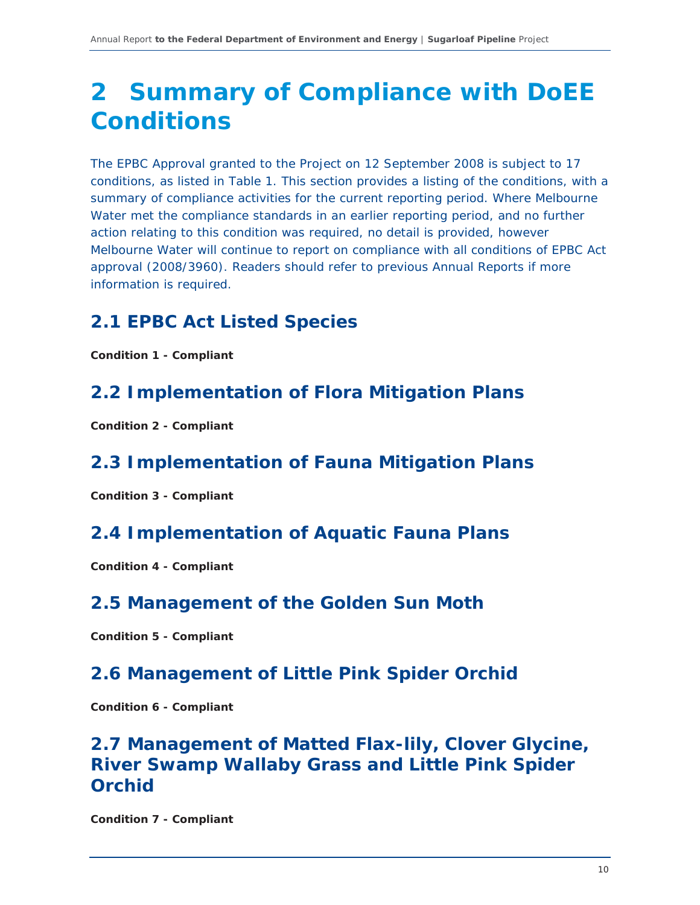## **2 Summary of Compliance with DoEE Conditions**

The EPBC Approval granted to the Project on 12 September 2008 is subject to 17 conditions, as listed in Table 1. This section provides a listing of the conditions, with a summary of compliance activities for the current reporting period. Where Melbourne Water met the compliance standards in an earlier reporting period, and no further action relating to this condition was required, no detail is provided, however Melbourne Water will continue to report on compliance with all conditions of EPBC Act approval (2008/3960). Readers should refer to previous Annual Reports if more information is required.

## **2.1 EPBC Act Listed Species**

*Condition 1 - Compliant* 

## **2.2 Implementation of Flora Mitigation Plans**

*Condition 2 - Compliant* 

## **2.3 Implementation of Fauna Mitigation Plans**

*Condition 3 - Compliant* 

## **2.4 Implementation of Aquatic Fauna Plans**

*Condition 4 - Compliant* 

### **2.5 Management of the Golden Sun Moth**

*Condition 5 - Compliant* 

## **2.6 Management of Little Pink Spider Orchid**

*Condition 6 - Compliant* 

## **2.7 Management of Matted Flax-lily, Clover Glycine, River Swamp Wallaby Grass and Little Pink Spider Orchid**

*Condition 7 - Compliant*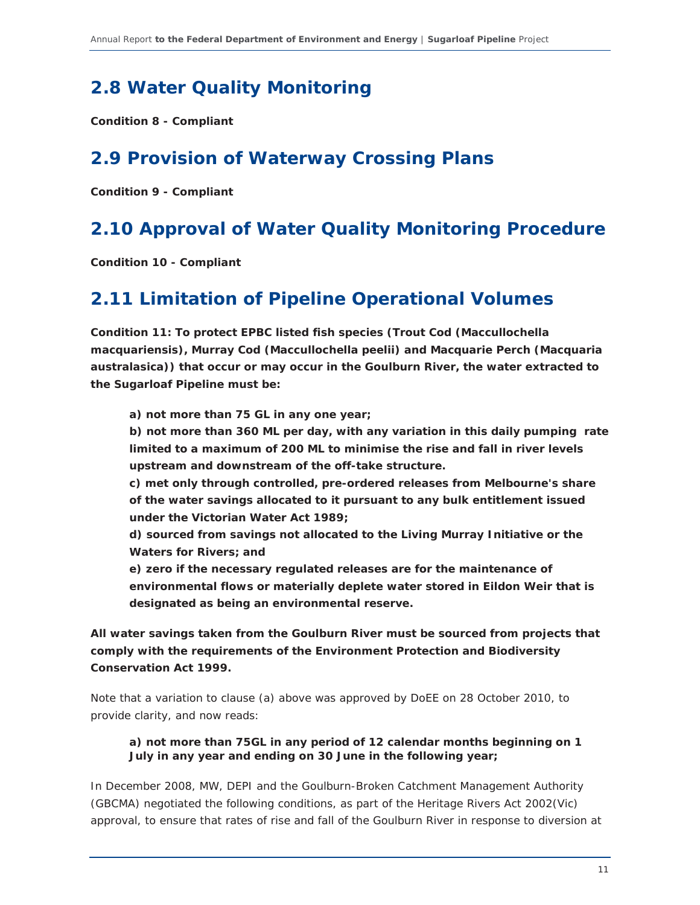## **2.8 Water Quality Monitoring**

*Condition 8 - Compliant* 

## **2.9 Provision of Waterway Crossing Plans**

*Condition 9 - Compliant* 

## **2.10 Approval of Water Quality Monitoring Procedure**

*Condition 10 - Compliant* 

### **2.11 Limitation of Pipeline Operational Volumes**

*Condition 11: To protect EPBC listed fish species (Trout Cod (Maccullochella macquariensis), Murray Cod (Maccullochella peelii) and Macquarie Perch (Macquaria australasica)) that occur or may occur in the Goulburn River, the water extracted to the Sugarloaf Pipeline must be:* 

*a) not more than 75 GL in any one year;* 

*b) not more than 360 ML per day, with any variation in this daily pumping rate limited to a maximum of 200 ML to minimise the rise and fall in river levels upstream and downstream of the off-take structure.* 

*c) met only through controlled, pre-ordered releases from Melbourne's share of the water savings allocated to it pursuant to any bulk entitlement issued under the Victorian Water Act 1989;* 

*d) sourced from savings not allocated to the Living Murray Initiative or the Waters for Rivers; and* 

*e) zero if the necessary regulated releases are for the maintenance of environmental flows or materially deplete water stored in Eildon Weir that is designated as being an environmental reserve.* 

*All water savings taken from the Goulburn River must be sourced from projects that comply with the requirements of the Environment Protection and Biodiversity Conservation Act 1999.* 

Note that a variation to clause (a) above was approved by DoEE on 28 October 2010, to provide clarity, and now reads:

### *a) not more than 75GL in any period of 12 calendar months beginning on 1 July in any year and ending on 30 June in the following year;*

In December 2008, MW, DEPI and the Goulburn-Broken Catchment Management Authority (GBCMA) negotiated the following conditions, as part of the Heritage Rivers Act 2002(Vic) approval, to ensure that rates of rise and fall of the Goulburn River in response to diversion at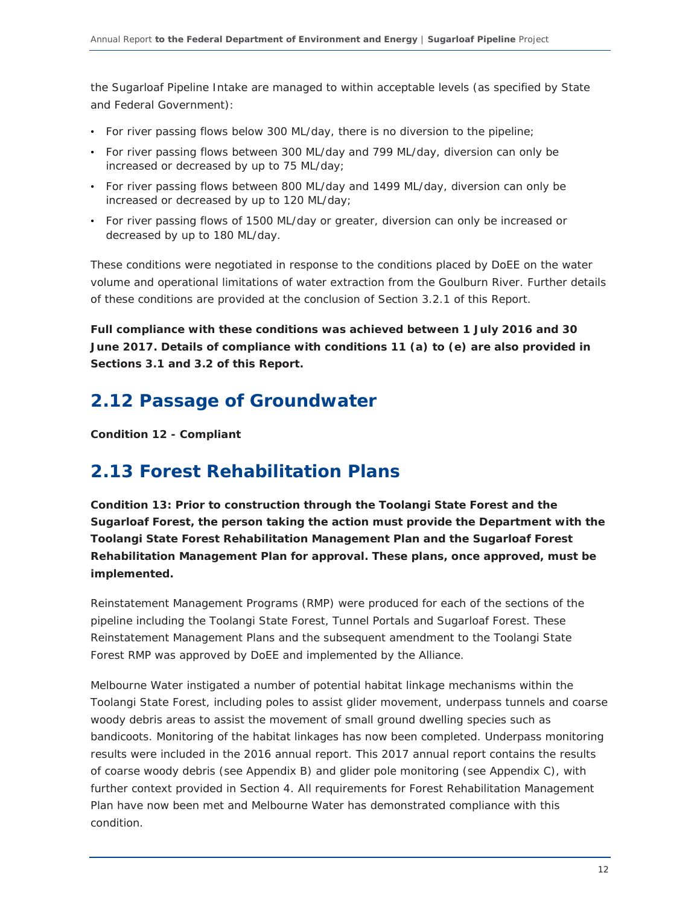the Sugarloaf Pipeline Intake are managed to within acceptable levels (as specified by State and Federal Government):

- For river passing flows below 300 ML/day, there is no diversion to the pipeline;
- For river passing flows between 300 ML/day and 799 ML/day, diversion can only be increased or decreased by up to 75 ML/day;
- For river passing flows between 800 ML/day and 1499 ML/day, diversion can only be increased or decreased by up to 120 ML/day;
- For river passing flows of 1500 ML/day or greater, diversion can only be increased or decreased by up to 180 ML/day.

These conditions were negotiated in response to the conditions placed by DoEE on the water volume and operational limitations of water extraction from the Goulburn River. Further details of these conditions are provided at the conclusion of Section 3.2.1 of this Report.

*Full compliance with these conditions was achieved between 1 July 2016 and 30 June 2017. Details of compliance with conditions 11 (a) to (e) are also provided in Sections 3.1 and 3.2 of this Report.* 

## **2.12 Passage of Groundwater**

*Condition 12 - Compliant* 

### **2.13 Forest Rehabilitation Plans**

*Condition 13: Prior to construction through the Toolangi State Forest and the Sugarloaf Forest, the person taking the action must provide the Department with the Toolangi State Forest Rehabilitation Management Plan and the Sugarloaf Forest Rehabilitation Management Plan for approval. These plans, once approved, must be implemented.* 

Reinstatement Management Programs (RMP) were produced for each of the sections of the pipeline including the Toolangi State Forest, Tunnel Portals and Sugarloaf Forest. These Reinstatement Management Plans and the subsequent amendment to the Toolangi State Forest RMP was approved by DoEE and implemented by the Alliance.

Melbourne Water instigated a number of potential habitat linkage mechanisms within the Toolangi State Forest, including poles to assist glider movement, underpass tunnels and coarse woody debris areas to assist the movement of small ground dwelling species such as bandicoots. Monitoring of the habitat linkages has now been completed. Underpass monitoring results were included in the 2016 annual report. This 2017 annual report contains the results of coarse woody debris (see Appendix B) and glider pole monitoring (see Appendix C), with further context provided in Section 4. All requirements for Forest Rehabilitation Management Plan have now been met and Melbourne Water has demonstrated compliance with this condition.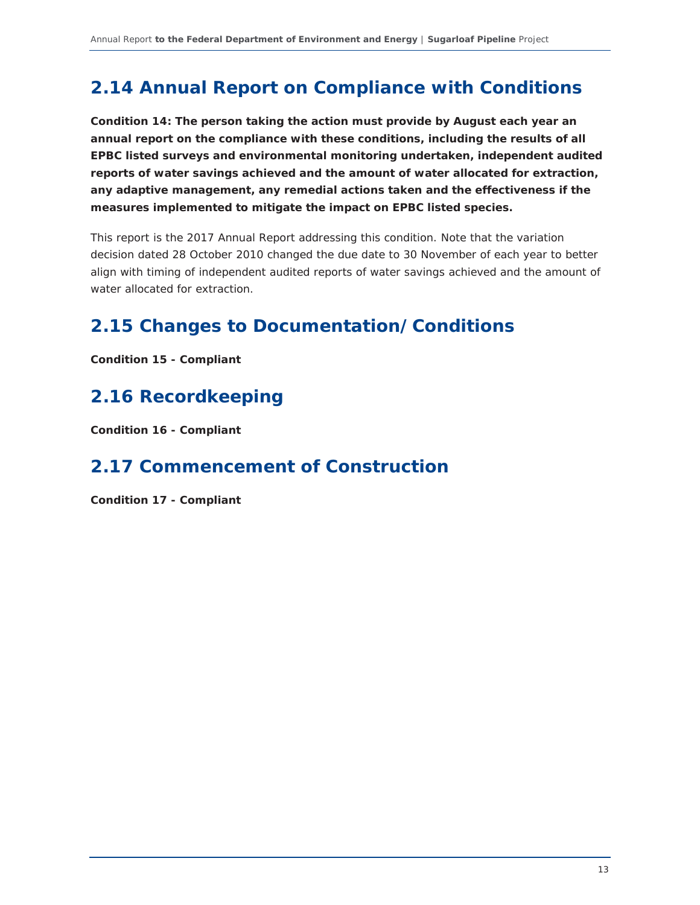## **2.14 Annual Report on Compliance with Conditions**

*Condition 14: The person taking the action must provide by August each year an annual report on the compliance with these conditions, including the results of all EPBC listed surveys and environmental monitoring undertaken, independent audited reports of water savings achieved and the amount of water allocated for extraction, any adaptive management, any remedial actions taken and the effectiveness if the measures implemented to mitigate the impact on EPBC listed species.* 

This report is the 2017 Annual Report addressing this condition. Note that the variation decision dated 28 October 2010 changed the due date to 30 November of each year to better align with timing of independent audited reports of water savings achieved and the amount of water allocated for extraction.

## **2.15 Changes to Documentation/Conditions**

*Condition 15 - Compliant* 

## **2.16 Recordkeeping**

*Condition 16 - Compliant* 

## **2.17 Commencement of Construction**

*Condition 17 - Compliant*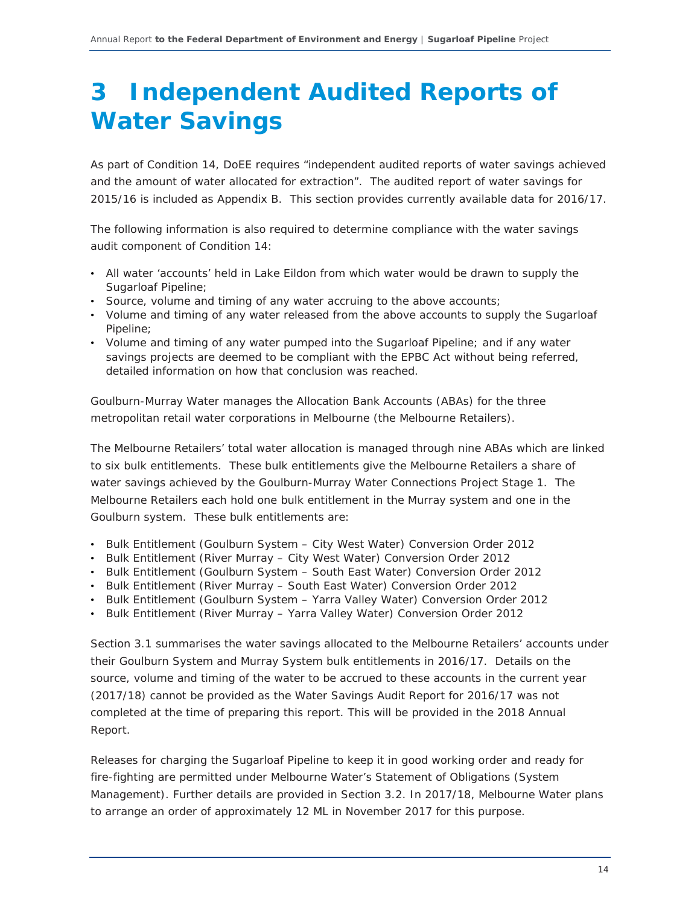## **3 Independent Audited Reports of Water Savings**

As part of Condition 14, DoEE requires "independent audited reports of water savings achieved and the amount of water allocated for extraction". The audited report of water savings for 2015/16 is included as Appendix B. This section provides currently available data for 2016/17.

The following information is also required to determine compliance with the water savings audit component of Condition 14:

- All water 'accounts' held in Lake Eildon from which water would be drawn to supply the Sugarloaf Pipeline;
- Source, volume and timing of any water accruing to the above accounts;
- Volume and timing of any water released from the above accounts to supply the Sugarloaf Pipeline;
- Volume and timing of any water pumped into the Sugarloaf Pipeline; and if any water savings projects are deemed to be compliant with the EPBC Act without being referred, detailed information on how that conclusion was reached.

Goulburn-Murray Water manages the Allocation Bank Accounts (ABAs) for the three metropolitan retail water corporations in Melbourne (the Melbourne Retailers).

The Melbourne Retailers' total water allocation is managed through nine ABAs which are linked to six bulk entitlements. These bulk entitlements give the Melbourne Retailers a share of water savings achieved by the Goulburn-Murray Water Connections Project Stage 1. The Melbourne Retailers each hold one bulk entitlement in the Murray system and one in the Goulburn system. These bulk entitlements are:

- Bulk Entitlement (Goulburn System City West Water) Conversion Order 2012
- Bulk Entitlement (River Murray City West Water) Conversion Order 2012
- Bulk Entitlement (Goulburn System South East Water) Conversion Order 2012
- Bulk Entitlement (River Murray South East Water) Conversion Order 2012
- Bulk Entitlement (Goulburn System Yarra Valley Water) Conversion Order 2012
- Bulk Entitlement (River Murray Yarra Valley Water) Conversion Order 2012

Section 3.1 summarises the water savings allocated to the Melbourne Retailers' accounts under their Goulburn System and Murray System bulk entitlements in 2016/17. Details on the source, volume and timing of the water to be accrued to these accounts in the current year (2017/18) cannot be provided as the Water Savings Audit Report for 2016/17 was not completed at the time of preparing this report. This will be provided in the 2018 Annual Report.

Releases for charging the Sugarloaf Pipeline to keep it in good working order and ready for fire-fighting are permitted under Melbourne Water's Statement of Obligations (System Management). Further details are provided in Section 3.2. In 2017/18, Melbourne Water plans to arrange an order of approximately 12 ML in November 2017 for this purpose.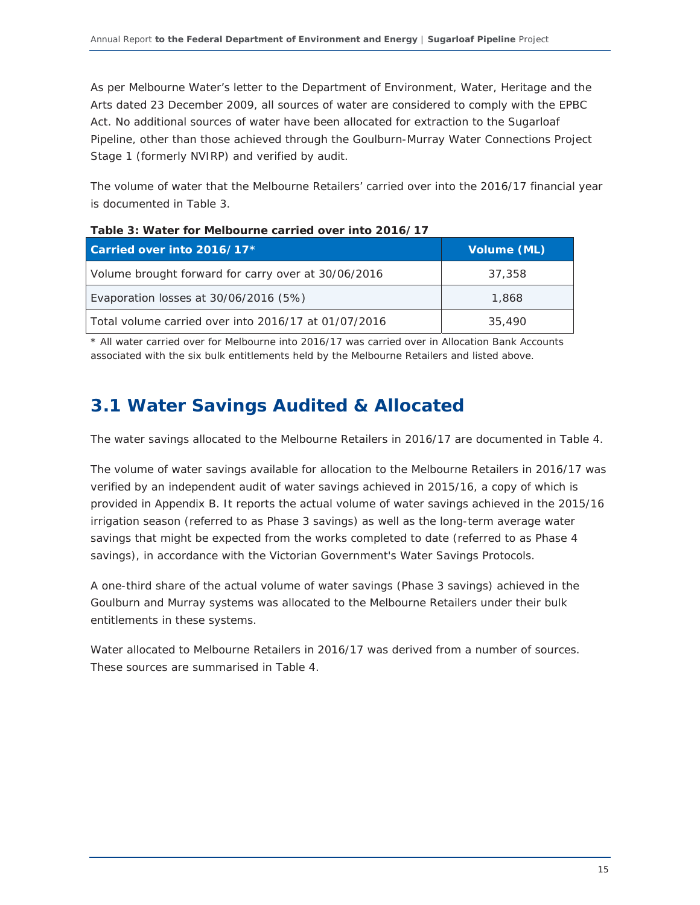As per Melbourne Water's letter to the Department of Environment, Water, Heritage and the Arts dated 23 December 2009, all sources of water are considered to comply with the EPBC Act. No additional sources of water have been allocated for extraction to the Sugarloaf Pipeline, other than those achieved through the Goulburn-Murray Water Connections Project Stage 1 (formerly NVIRP) and verified by audit.

The volume of water that the Melbourne Retailers' carried over into the 2016/17 financial year is documented in Table 3.

| Carried over into 2016/17*                           | Volume (ML) |  |
|------------------------------------------------------|-------------|--|
| Volume brought forward for carry over at 30/06/2016  | 37,358      |  |
| Evaporation losses at 30/06/2016 (5%)                | 1,868       |  |
| Total volume carried over into 2016/17 at 01/07/2016 | 35,490      |  |

| Table 3: Water for Melbourne carried over into 2016/17 |
|--------------------------------------------------------|
|--------------------------------------------------------|

\* All water carried over for Melbourne into 2016/17 was carried over in Allocation Bank Accounts associated with the six bulk entitlements held by the Melbourne Retailers and listed above.

## **3.1 Water Savings Audited & Allocated**

The water savings allocated to the Melbourne Retailers in 2016/17 are documented in Table 4.

The volume of water savings available for allocation to the Melbourne Retailers in 2016/17 was verified by an independent audit of water savings achieved in 2015/16, a copy of which is provided in Appendix B. It reports the actual volume of water savings achieved in the 2015/16 irrigation season (referred to as Phase 3 savings) as well as the long-term average water savings that might be expected from the works completed to date (referred to as Phase 4 savings), in accordance with the Victorian Government's Water Savings Protocols.

A one-third share of the actual volume of water savings (Phase 3 savings) achieved in the Goulburn and Murray systems was allocated to the Melbourne Retailers under their bulk entitlements in these systems.

Water allocated to Melbourne Retailers in 2016/17 was derived from a number of sources. These sources are summarised in Table 4.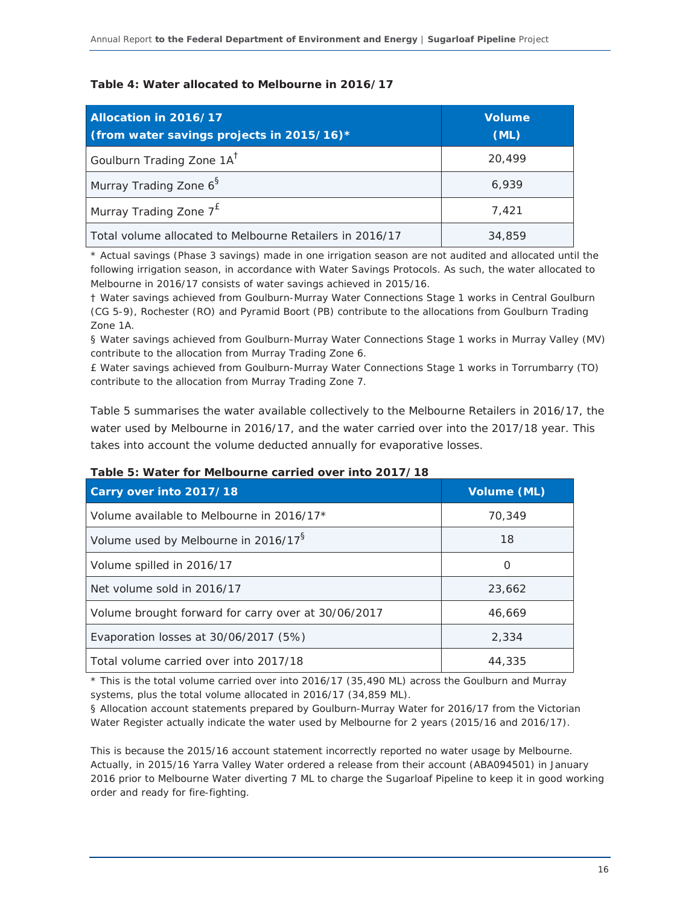### **Table 4: Water allocated to Melbourne in 2016/17**

| Allocation in 2016/17<br>(from water savings projects in 2015/16)* | <b>Volume</b><br>(ML) |
|--------------------------------------------------------------------|-----------------------|
| Goulburn Trading Zone 1A <sup>T</sup>                              | 20,499                |
| Murray Trading Zone 6 <sup>§</sup>                                 | 6,939                 |
| Murray Trading Zone $7^{\text{E}}$                                 | 7,421                 |
| Total volume allocated to Melbourne Retailers in 2016/17           | 34,859                |

\* Actual savings (Phase 3 savings) made in one irrigation season are not audited and allocated until the following irrigation season, in accordance with Water Savings Protocols. As such, the water allocated to Melbourne in 2016/17 consists of water savings achieved in 2015/16.

† Water savings achieved from Goulburn-Murray Water Connections Stage 1 works in Central Goulburn (CG 5-9), Rochester (RO) and Pyramid Boort (PB) contribute to the allocations from Goulburn Trading Zone 1A.

§ Water savings achieved from Goulburn-Murray Water Connections Stage 1 works in Murray Valley (MV) contribute to the allocation from Murray Trading Zone 6.

£ Water savings achieved from Goulburn-Murray Water Connections Stage 1 works in Torrumbarry (TO) contribute to the allocation from Murray Trading Zone 7.

Table 5 summarises the water available collectively to the Melbourne Retailers in 2016/17, the water used by Melbourne in 2016/17, and the water carried over into the 2017/18 year. This takes into account the volume deducted annually for evaporative losses.

| Carry over into 2017/18                             | Volume (ML) |  |
|-----------------------------------------------------|-------------|--|
| Volume available to Melbourne in 2016/17*           | 70.349      |  |
| Volume used by Melbourne in 2016/17 <sup>8</sup>    | 18          |  |
| Volume spilled in 2016/17                           | O           |  |
| Net volume sold in 2016/17                          | 23,662      |  |
| Volume brought forward for carry over at 30/06/2017 | 46,669      |  |
| Evaporation losses at $30/06/2017$ (5%)             | 2.334       |  |
| Total volume carried over into 2017/18              | 44,335      |  |

#### **Table 5: Water for Melbourne carried over into 2017/18**

\* This is the total volume carried over into 2016/17 (35,490 ML) across the Goulburn and Murray systems, plus the total volume allocated in 2016/17 (34,859 ML).

§ Allocation account statements prepared by Goulburn-Murray Water for 2016/17 from the Victorian Water Register actually indicate the water used by Melbourne for 2 years (2015/16 and 2016/17).

This is because the 2015/16 account statement incorrectly reported no water usage by Melbourne. Actually, in 2015/16 Yarra Valley Water ordered a release from their account (ABA094501) in January 2016 prior to Melbourne Water diverting 7 ML to charge the Sugarloaf Pipeline to keep it in good working order and ready for fire-fighting.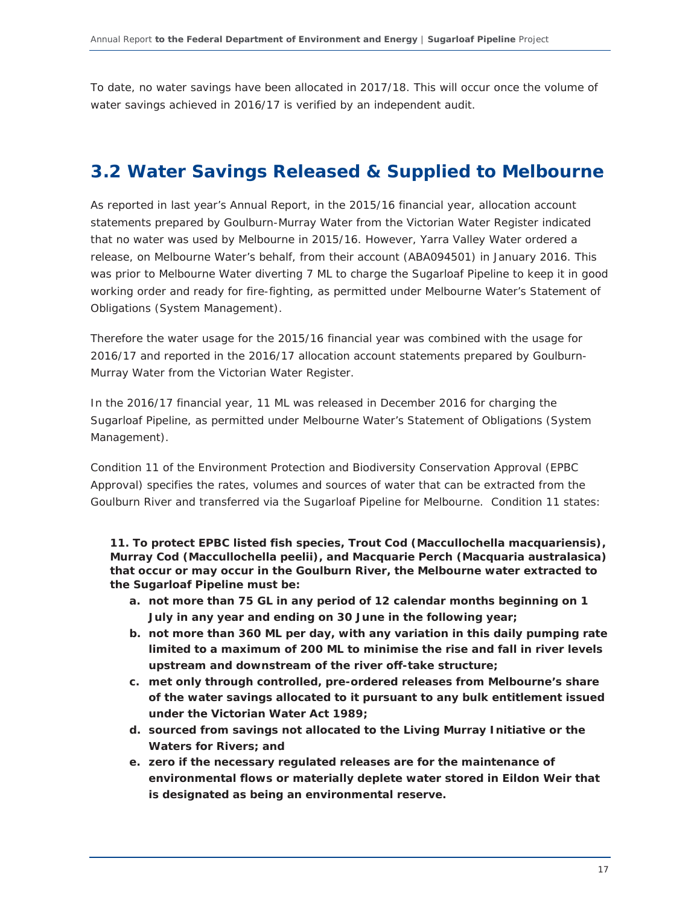To date, no water savings have been allocated in 2017/18. This will occur once the volume of water savings achieved in 2016/17 is verified by an independent audit.

### **3.2 Water Savings Released & Supplied to Melbourne**

As reported in last year's Annual Report, in the 2015/16 financial year, allocation account statements prepared by Goulburn-Murray Water from the Victorian Water Register indicated that no water was used by Melbourne in 2015/16. However, Yarra Valley Water ordered a release, on Melbourne Water's behalf, from their account (ABA094501) in January 2016. This was prior to Melbourne Water diverting 7 ML to charge the Sugarloaf Pipeline to keep it in good working order and ready for fire-fighting, as permitted under Melbourne Water's Statement of Obligations (System Management).

Therefore the water usage for the 2015/16 financial year was combined with the usage for 2016/17 and reported in the 2016/17 allocation account statements prepared by Goulburn-Murray Water from the Victorian Water Register.

In the 2016/17 financial year, 11 ML was released in December 2016 for charging the Sugarloaf Pipeline, as permitted under Melbourne Water's *Statement of Obligations (System Management)*.

Condition 11 of the Environment Protection and Biodiversity Conservation Approval (EPBC Approval) specifies the rates, volumes and sources of water that can be extracted from the Goulburn River and transferred via the Sugarloaf Pipeline for Melbourne. Condition 11 states:

*11. To protect EPBC listed fish species, Trout Cod (Maccullochella macquariensis), Murray Cod (Maccullochella peelii), and Macquarie Perch (Macquaria australasica) that occur or may occur in the Goulburn River, the Melbourne water extracted to the Sugarloaf Pipeline must be:* 

- *a. not more than 75 GL in any period of 12 calendar months beginning on 1 July in any year and ending on 30 June in the following year;*
- *b. not more than 360 ML per day, with any variation in this daily pumping rate limited to a maximum of 200 ML to minimise the rise and fall in river levels upstream and downstream of the river off-take structure;*
- *c. met only through controlled, pre-ordered releases from Melbourne's share of the water savings allocated to it pursuant to any bulk entitlement issued under the Victorian Water Act 1989;*
- *d. sourced from savings not allocated to the Living Murray Initiative or the Waters for Rivers; and*
- *e. zero if the necessary regulated releases are for the maintenance of environmental flows or materially deplete water stored in Eildon Weir that is designated as being an environmental reserve.*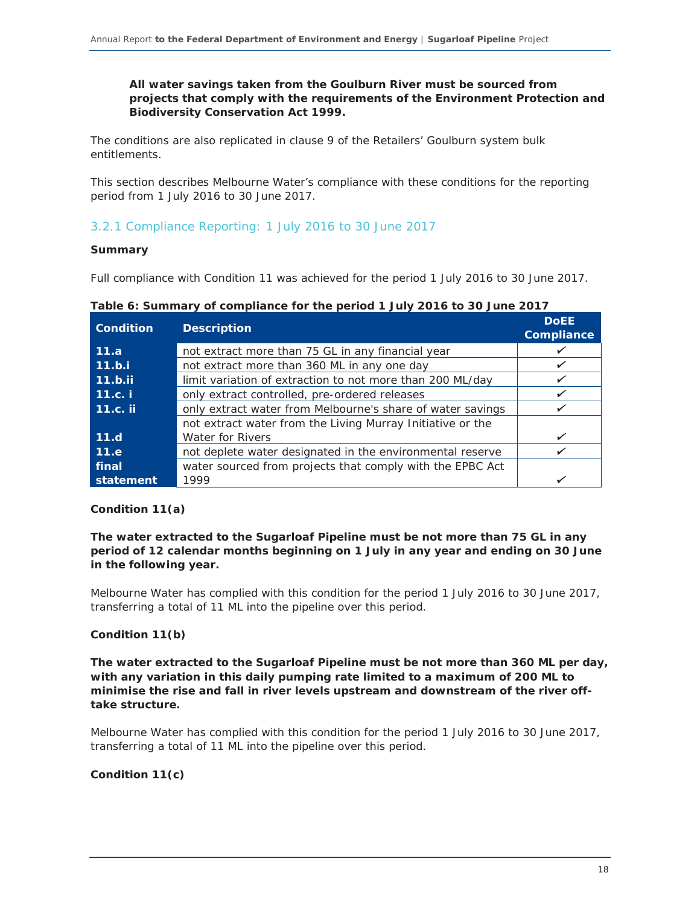### *All water savings taken from the Goulburn River must be sourced from projects that comply with the requirements of the Environment Protection and Biodiversity Conservation Act 1999.*

The conditions are also replicated in clause 9 of the Retailers' Goulburn system bulk entitlements.

This section describes Melbourne Water's compliance with these conditions for the reporting period from 1 July 2016 to 30 June 2017.

### 3.2.1 Compliance Reporting: 1 July 2016 to 30 June 2017

### **Summary**

Full compliance with Condition 11 was achieved for the period 1 July 2016 to 30 June 2017.

| <b>Condition</b> | <b>Description</b>                                         | <b>DoEE</b><br><b>Compliance</b> |
|------------------|------------------------------------------------------------|----------------------------------|
| 11.a             | not extract more than 75 GL in any financial year          |                                  |
| 11.b.i           | not extract more than 360 ML in any one day                | ✔                                |
| 11.b.ii          | limit variation of extraction to not more than 200 ML/day  | $\checkmark$                     |
| 11.c.            | only extract controlled, pre-ordered releases              | ✔                                |
| 11.c. ii         | only extract water from Melbourne's share of water savings |                                  |
|                  | not extract water from the Living Murray Initiative or the |                                  |
| 11.d             | <b>Water for Rivers</b>                                    | $\checkmark$                     |
| 11.e             | not deplete water designated in the environmental reserve  |                                  |
| <b>final</b>     | water sourced from projects that comply with the EPBC Act  |                                  |
| statement        | 1999                                                       |                                  |

**Table 6: Summary of compliance for the period 1 July 2016 to 30 June 2017** 

### **Condition 11(a)**

### *The water extracted to the Sugarloaf Pipeline must be not more than 75 GL in any period of 12 calendar months beginning on 1 July in any year and ending on 30 June in the following year.*

Melbourne Water has complied with this condition for the period 1 July 2016 to 30 June 2017, transferring a total of 11 ML into the pipeline over this period.

### **Condition 11(b)**

*The water extracted to the Sugarloaf Pipeline must be not more than 360 ML per day, with any variation in this daily pumping rate limited to a maximum of 200 ML to minimise the rise and fall in river levels upstream and downstream of the river offtake structure.* 

Melbourne Water has complied with this condition for the period 1 July 2016 to 30 June 2017, transferring a total of 11 ML into the pipeline over this period.

### **Condition 11(c)**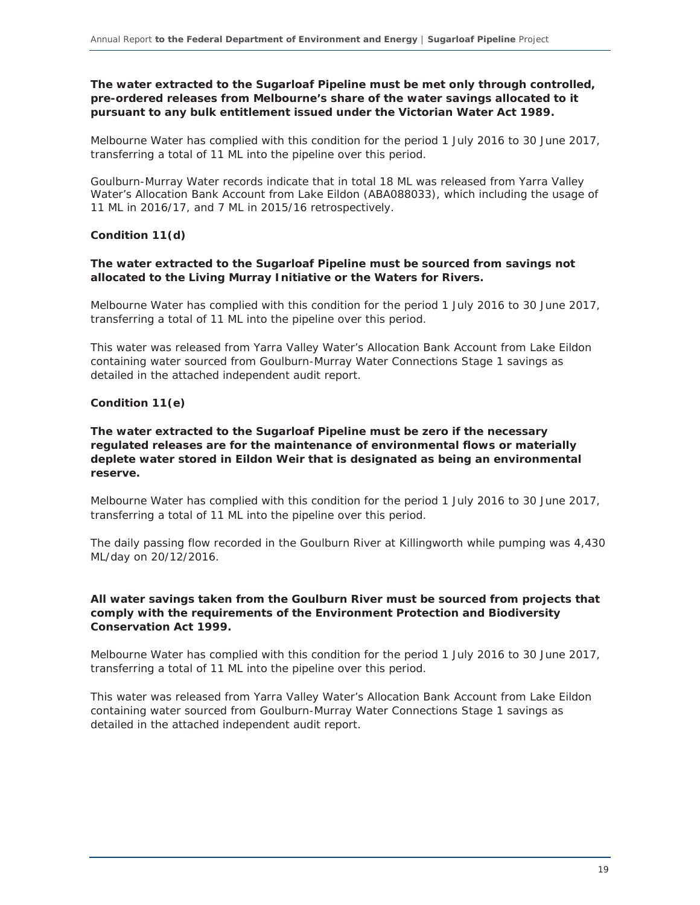### *The water extracted to the Sugarloaf Pipeline must be met only through controlled, pre-ordered releases from Melbourne's share of the water savings allocated to it pursuant to any bulk entitlement issued under the Victorian Water Act 1989.*

Melbourne Water has complied with this condition for the period 1 July 2016 to 30 June 2017, transferring a total of 11 ML into the pipeline over this period.

Goulburn-Murray Water records indicate that in total 18 ML was released from Yarra Valley Water's Allocation Bank Account from Lake Eildon (ABA088033), which including the usage of 11 ML in 2016/17, and 7 ML in 2015/16 retrospectively.

### **Condition 11(d)**

### *The water extracted to the Sugarloaf Pipeline must be sourced from savings not allocated to the Living Murray Initiative or the Waters for Rivers.*

Melbourne Water has complied with this condition for the period 1 July 2016 to 30 June 2017, transferring a total of 11 ML into the pipeline over this period.

This water was released from Yarra Valley Water's Allocation Bank Account from Lake Eildon containing water sourced from Goulburn-Murray Water Connections Stage 1 savings as detailed in the attached independent audit report.

### **Condition 11(e)**

### *The water extracted to the Sugarloaf Pipeline must be zero if the necessary regulated releases are for the maintenance of environmental flows or materially deplete water stored in Eildon Weir that is designated as being an environmental reserve.*

Melbourne Water has complied with this condition for the period 1 July 2016 to 30 June 2017, transferring a total of 11 ML into the pipeline over this period.

The daily passing flow recorded in the Goulburn River at Killingworth while pumping was 4,430 ML/day on 20/12/2016.

### *All water savings taken from the Goulburn River must be sourced from projects that comply with the requirements of the Environment Protection and Biodiversity Conservation Act 1999.*

Melbourne Water has complied with this condition for the period 1 July 2016 to 30 June 2017, transferring a total of 11 ML into the pipeline over this period.

This water was released from Yarra Valley Water's Allocation Bank Account from Lake Eildon containing water sourced from Goulburn-Murray Water Connections Stage 1 savings as detailed in the attached independent audit report.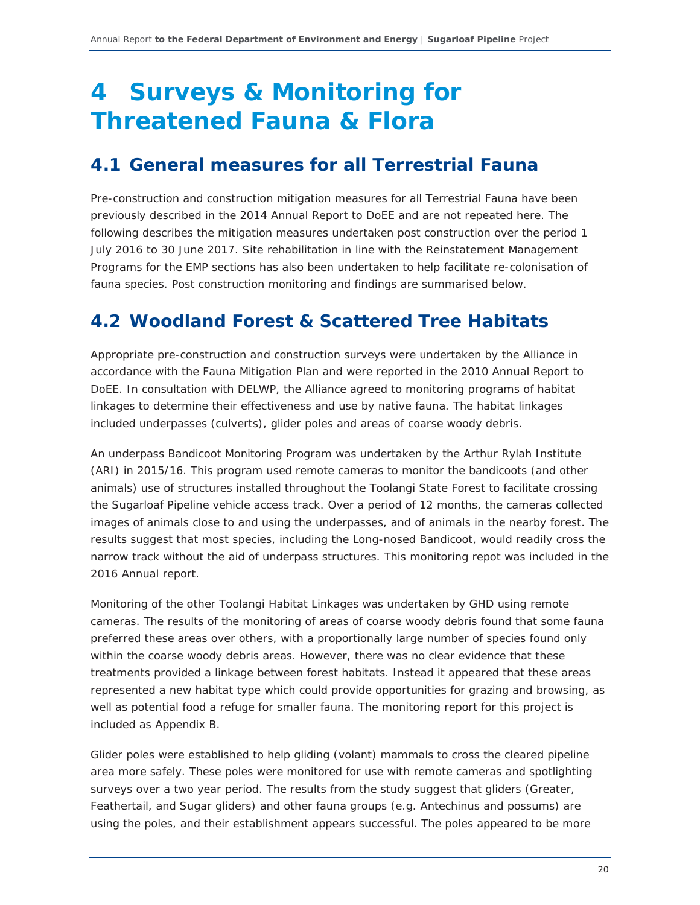## **4 Surveys & Monitoring for Threatened Fauna & Flora**

## **4.1 General measures for all Terrestrial Fauna**

Pre-construction and construction mitigation measures for all Terrestrial Fauna have been previously described in the 2014 Annual Report to DoEE and are not repeated here. The following describes the mitigation measures undertaken post construction over the period 1 July 2016 to 30 June 2017. Site rehabilitation in line with the Reinstatement Management Programs for the EMP sections has also been undertaken to help facilitate re-colonisation of fauna species. Post construction monitoring and findings are summarised below.

## **4.2 Woodland Forest & Scattered Tree Habitats**

Appropriate pre-construction and construction surveys were undertaken by the Alliance in accordance with the Fauna Mitigation Plan and were reported in the 2010 Annual Report to DoEE. In consultation with DELWP, the Alliance agreed to monitoring programs of habitat linkages to determine their effectiveness and use by native fauna. The habitat linkages included underpasses (culverts), glider poles and areas of coarse woody debris.

An underpass Bandicoot Monitoring Program was undertaken by the Arthur Rylah Institute (ARI) in 2015/16. This program used remote cameras to monitor the bandicoots (and other animals) use of structures installed throughout the Toolangi State Forest to facilitate crossing the Sugarloaf Pipeline vehicle access track. Over a period of 12 months, the cameras collected images of animals close to and using the underpasses, and of animals in the nearby forest. The results suggest that most species, including the Long-nosed Bandicoot, would readily cross the narrow track without the aid of underpass structures. This monitoring repot was included in the 2016 Annual report.

Monitoring of the other Toolangi Habitat Linkages was undertaken by GHD using remote cameras. The results of the monitoring of areas of coarse woody debris found that some fauna preferred these areas over others, with a proportionally large number of species found only within the coarse woody debris areas. However, there was no clear evidence that these treatments provided a linkage between forest habitats. Instead it appeared that these areas represented a new habitat type which could provide opportunities for grazing and browsing, as well as potential food a refuge for smaller fauna. The monitoring report for this project is included as Appendix B.

Glider poles were established to help gliding (volant) mammals to cross the cleared pipeline area more safely. These poles were monitored for use with remote cameras and spotlighting surveys over a two year period. The results from the study suggest that gliders (Greater, Feathertail, and Sugar gliders) and other fauna groups (e.g. Antechinus and possums) are using the poles, and their establishment appears successful. The poles appeared to be more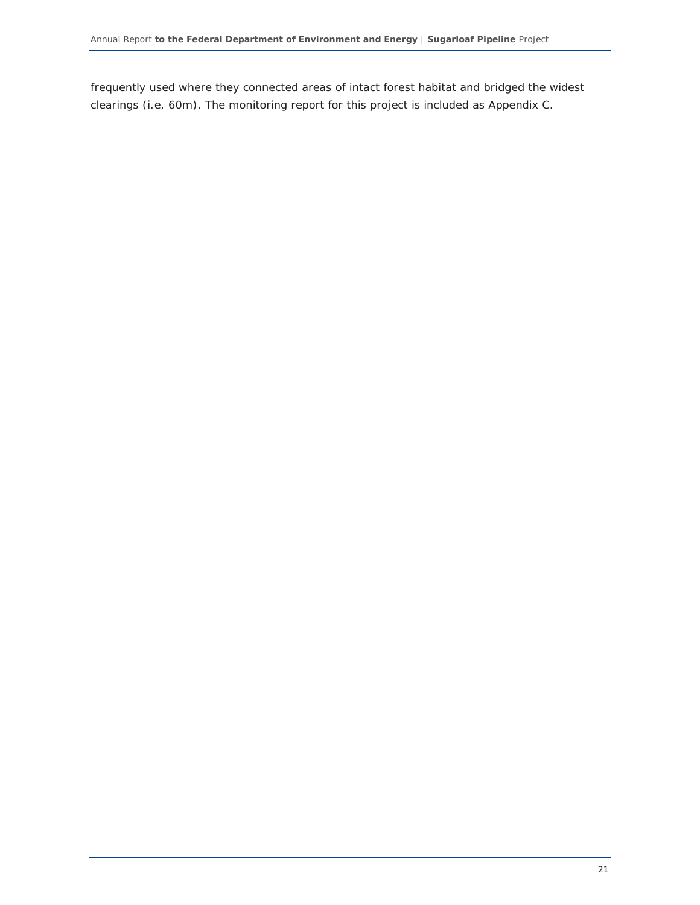frequently used where they connected areas of intact forest habitat and bridged the widest clearings (i.e. 60m). The monitoring report for this project is included as Appendix C.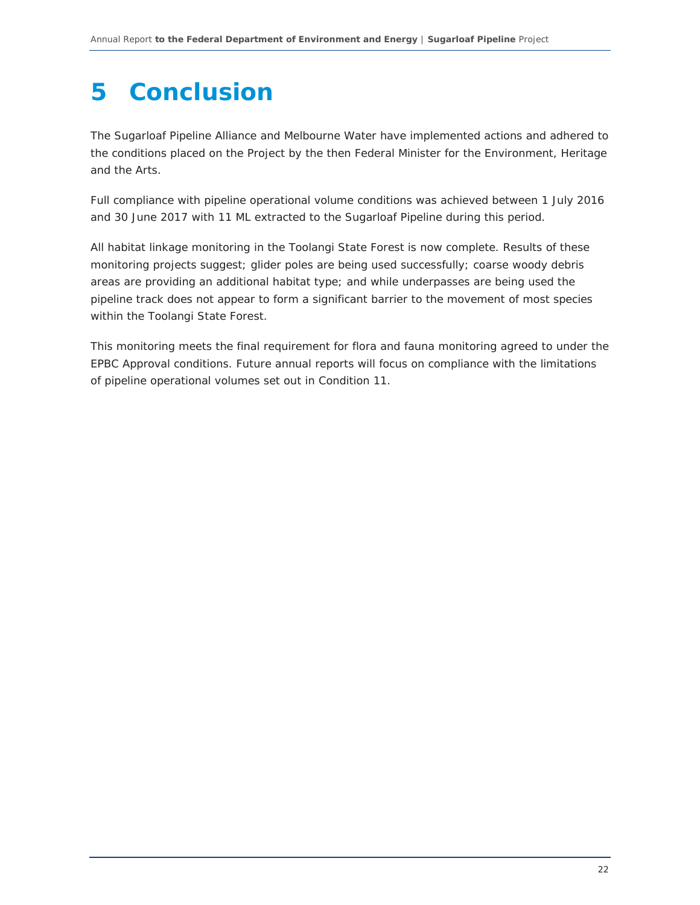## **5 Conclusion**

The Sugarloaf Pipeline Alliance and Melbourne Water have implemented actions and adhered to the conditions placed on the Project by the then Federal Minister for the Environment, Heritage and the Arts.

Full compliance with pipeline operational volume conditions was achieved between 1 July 2016 and 30 June 2017 with 11 ML extracted to the Sugarloaf Pipeline during this period.

All habitat linkage monitoring in the Toolangi State Forest is now complete. Results of these monitoring projects suggest; glider poles are being used successfully; coarse woody debris areas are providing an additional habitat type; and while underpasses are being used the pipeline track does not appear to form a significant barrier to the movement of most species within the Toolangi State Forest.

This monitoring meets the final requirement for flora and fauna monitoring agreed to under the EPBC Approval conditions. Future annual reports will focus on compliance with the limitations of pipeline operational volumes set out in Condition 11.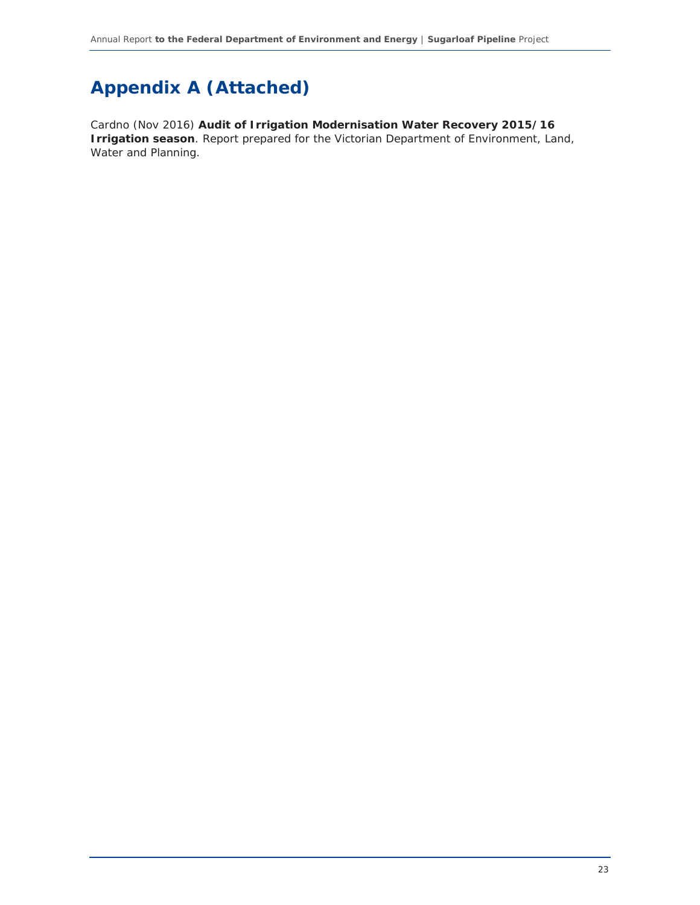## **Appendix A (Attached)**

Cardno (Nov 2016) **Audit of Irrigation Modernisation Water Recovery 2015/16 Irrigation season**. Report prepared for the Victorian Department of Environment, Land, Water and Planning.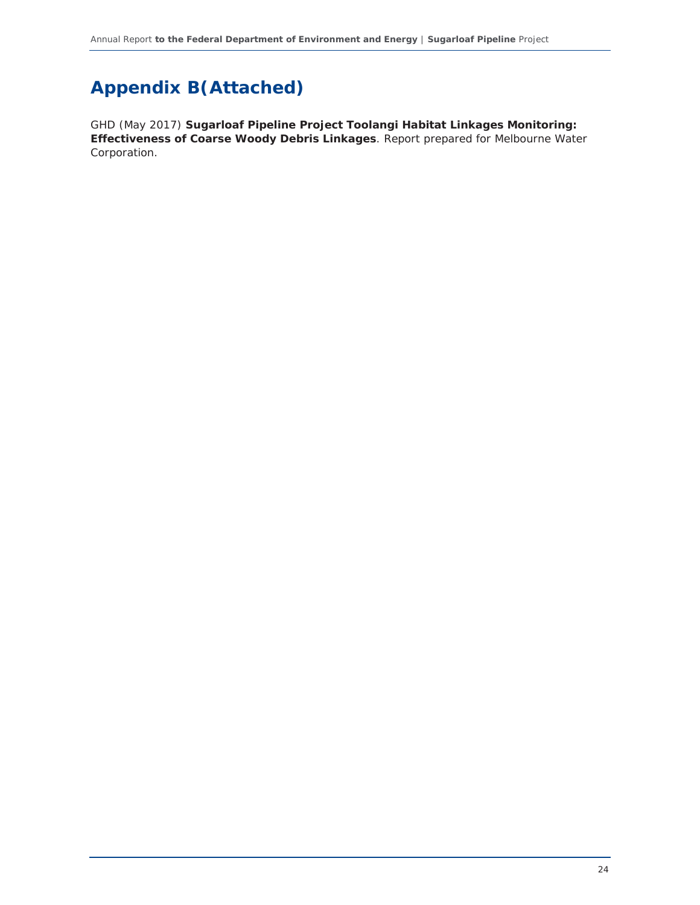## **Appendix B(Attached)**

GHD (May 2017) **Sugarloaf Pipeline Project Toolangi Habitat Linkages Monitoring: Effectiveness of Coarse Woody Debris Linkages**. Report prepared for Melbourne Water Corporation.